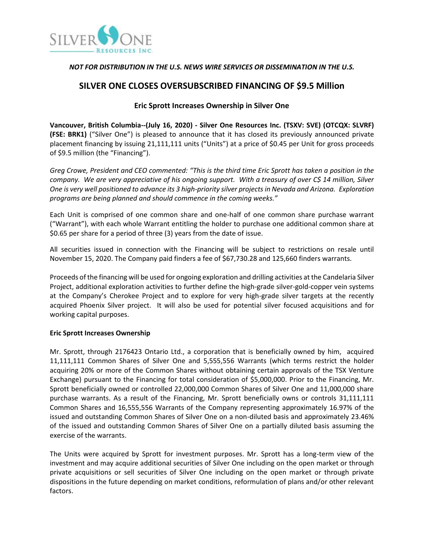

# *NOT FOR DISTRIBUTION IN THE U.S. NEWS WIRE SERVICES OR DISSEMINATION IN THE U.S.*

# **SILVER ONE CLOSES OVERSUBSCRIBED FINANCING OF \$9.5 Million**

# **Eric Sprott Increases Ownership in Silver One**

**Vancouver, British Columbia--(July 16, 2020) - Silver One Resources Inc. (TSXV: SVE) (OTCQX: SLVRF) (FSE: BRK1)** ("Silver One") is pleased to announce that it has closed its previously announced private placement financing by issuing 21,111,111 units ("Units") at a price of \$0.45 per Unit for gross proceeds of \$9.5 million (the "Financing").

*Greg Crowe, President and CEO commented: "This is the third time Eric Sprott has taken a position in the company. We are very appreciative of his ongoing support. With a treasury of over C\$ 14 million, Silver One is very well positioned to advance its 3 high-priority silver projects in Nevada and Arizona. Exploration programs are being planned and should commence in the coming weeks."*

Each Unit is comprised of one common share and one-half of one common share purchase warrant ("Warrant"), with each whole Warrant entitling the holder to purchase one additional common share at \$0.65 per share for a period of three (3) years from the date of issue.

All securities issued in connection with the Financing will be subject to restrictions on resale until November 15, 2020. The Company paid finders a fee of \$67,730.28 and 125,660 finders warrants.

Proceeds of the financing will be used for ongoing exploration and drilling activities at the Candelaria Silver Project, additional exploration activities to further define the high-grade silver-gold-copper vein systems at the Company's Cherokee Project and to explore for very high-grade silver targets at the recently acquired Phoenix Silver project. It will also be used for potential silver focused acquisitions and for working capital purposes.

### **Eric Sprott Increases Ownership**

Mr. Sprott, through 2176423 Ontario Ltd., a corporation that is beneficially owned by him, acquired 11,111,111 Common Shares of Silver One and 5,555,556 Warrants (which terms restrict the holder acquiring 20% or more of the Common Shares without obtaining certain approvals of the TSX Venture Exchange) pursuant to the Financing for total consideration of \$5,000,000. Prior to the Financing, Mr. Sprott beneficially owned or controlled 22,000,000 Common Shares of Silver One and 11,000,000 share purchase warrants. As a result of the Financing, Mr. Sprott beneficially owns or controls 31,111,111 Common Shares and 16,555,556 Warrants of the Company representing approximately 16.97% of the issued and outstanding Common Shares of Silver One on a non-diluted basis and approximately 23.46% of the issued and outstanding Common Shares of Silver One on a partially diluted basis assuming the exercise of the warrants.

The Units were acquired by Sprott for investment purposes. Mr. Sprott has a long-term view of the investment and may acquire additional securities of Silver One including on the open market or through private acquisitions or sell securities of Silver One including on the open market or through private dispositions in the future depending on market conditions, reformulation of plans and/or other relevant factors.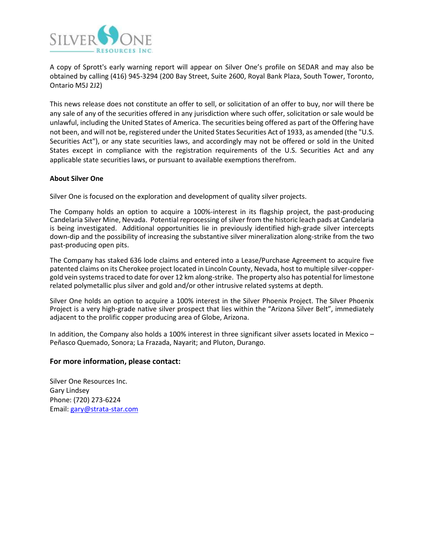

A copy of Sprott's early warning report will appear on Silver One's profile on SEDAR and may also be obtained by calling (416) 945-3294 (200 Bay Street, Suite 2600, Royal Bank Plaza, South Tower, Toronto, Ontario M5J 2J2)

This news release does not constitute an offer to sell, or solicitation of an offer to buy, nor will there be any sale of any of the securities offered in any jurisdiction where such offer, solicitation or sale would be unlawful, including the United States of America. The securities being offered as part of the Offering have not been, and will not be, registered under the United States Securities Act of 1933, as amended (the "U.S. Securities Act"), or any state securities laws, and accordingly may not be offered or sold in the United States except in compliance with the registration requirements of the U.S. Securities Act and any applicable state securities laws, or pursuant to available exemptions therefrom.

#### **About Silver One**

Silver One is focused on the exploration and development of quality silver projects.

The Company holds an option to acquire a 100%-interest in its flagship project, the past-producing Candelaria Silver Mine, Nevada. Potential reprocessing of silver from the historic leach pads at Candelaria is being investigated. Additional opportunities lie in previously identified high-grade silver intercepts down-dip and the possibility of increasing the substantive silver mineralization along-strike from the two past-producing open pits.

The Company has staked 636 lode claims and entered into a Lease/Purchase Agreement to acquire five patented claims on its Cherokee project located in Lincoln County, Nevada, host to multiple silver-coppergold vein systemstraced to date for over 12 km along-strike. The property also has potential for limestone related polymetallic plus silver and gold and/or other intrusive related systems at depth.

Silver One holds an option to acquire a 100% interest in the Silver Phoenix Project. The Silver Phoenix Project is a very high-grade native silver prospect that lies within the "Arizona Silver Belt", immediately adjacent to the prolific copper producing area of Globe, Arizona.

In addition, the Company also holds a 100% interest in three significant silver assets located in Mexico – Peñasco Quemado, Sonora; La Frazada, Nayarit; and Pluton, Durango.

### **For more information, please contact:**

Silver One Resources Inc. Gary Lindsey Phone: (720) 273-6224 Email: [gary@strata-star.com](mailto:gary@strata-star.com)